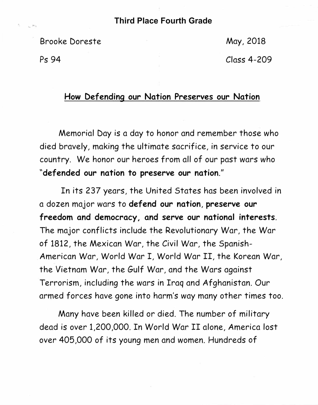## **Third Place Fourth Grade**

Brooke Doreste

May, 2018

Ps 94

Class 4-209

## **How Defending our Nation Preserves our Nation**

Memorial Day is a day to honor and remember those who died bravely, making the ultimate sacrifice, in service to our country. We honor our heroes from all of our past wars who **"def ended our nation to preserve our nation."** 

In its 237 years, the United States has been involved in a dozen major wars to **defend our nation, preserve our freedom and democracy, and serve our national interests.**  The major conflicts include the Revolutionary War, the War of 1812, the Mexican War, the Civil War, the Spanish-American War, World War I, World War II, the Korean War, the Vietnam War, the Gulf War, and the Wars against Terrorism, including the wars in Iraq and Afghanistan. Our armed forces have gone into harm's way many other times too.

Many have been killed or died. The number of military dead is over 1,200,000. In World War II alone, America lost over 405,000 of its young men and women. Hundreds of